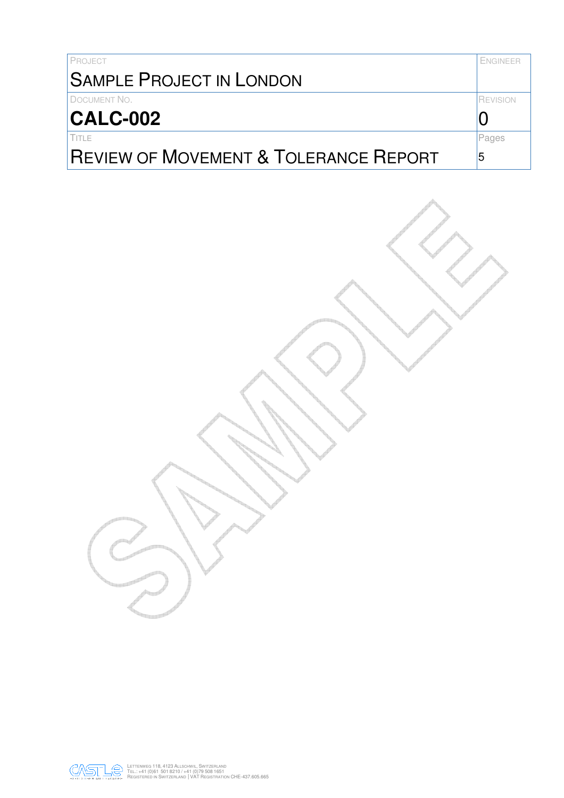| PROJECT                                          | ENGINEER        |
|--------------------------------------------------|-----------------|
| SAMPLE PROJECT IN LONDON                         |                 |
| DOCUMENT NO.                                     | <b>REVISION</b> |
| $ CALC-002 $                                     |                 |
| ÎTLE                                             | <b>Pages</b>    |
| <b>REVIEW OF MOVEMENT &amp; TOLERANCE REPORT</b> | 5               |

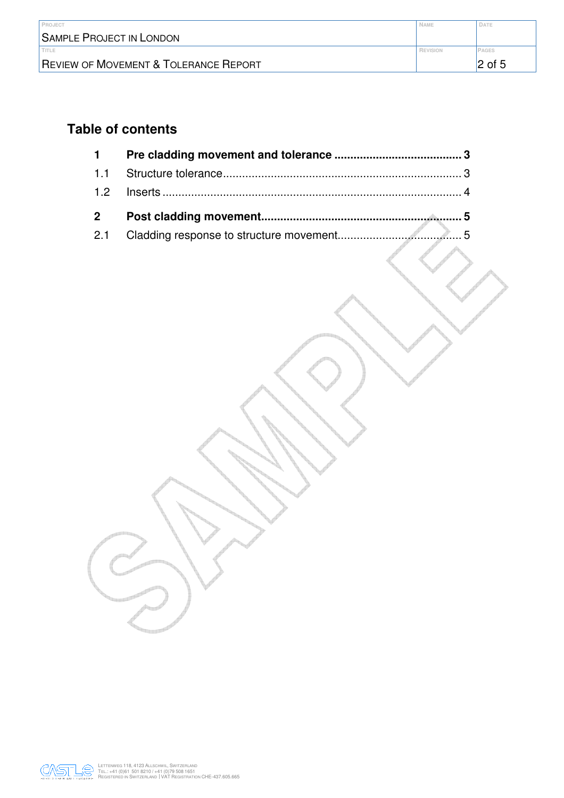| PROJECT                                          | <b>NAME</b>     | DATE         |
|--------------------------------------------------|-----------------|--------------|
| <b>SAMPLE PROJECT IN LONDON</b>                  |                 |              |
| TITLE                                            | <b>REVISION</b> | <b>PAGES</b> |
| <b>REVIEW OF MOVEMENT &amp; TOLERANCE REPORT</b> |                 | $ 2$ of 5    |

# **Table of contents**

| 1 <sup>1</sup> |  |
|----------------|--|
|                |  |
|                |  |
|                |  |
|                |  |

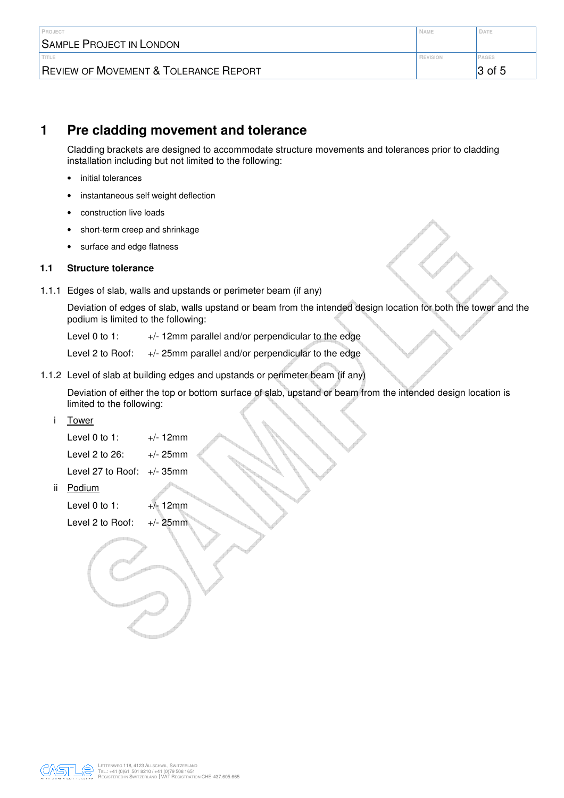| PROJECT                                          | <b>NAME</b>     | DATE      |
|--------------------------------------------------|-----------------|-----------|
| <b>SAMPLE PROJECT IN LONDON</b>                  |                 |           |
| TITLE                                            | <b>REVISION</b> | PAGES     |
| <b>REVIEW OF MOVEMENT &amp; TOLERANCE REPORT</b> |                 | $ 3$ of 5 |

### **1 Pre cladding movement and tolerance**

Cladding brackets are designed to accommodate structure movements and tolerances prior to cladding installation including but not limited to the following:

- initial tolerances
- instantaneous self weight deflection
- construction live loads
- short-term creep and shrinkage
- surface and edge flatness

#### **1.1 Structure tolerance**

1.1.1 Edges of slab, walls and upstands or perimeter beam (if any)

Deviation of edges of slab, walls upstand or beam from the intended design location for both the tower and the podium is limited to the following:

Level 0 to 1:  $+/-$  12mm parallel and/or perpendicular to the edge

Level 2 to Roof:  $+/-$  25mm parallel and/or perpendicular to the edge

1.1.2 Level of slab at building edges and upstands or perimeter beam (if any)

Deviation of either the top or bottom surface of slab, upstand or beam from the intended design location is limited to the following:

i Tower

| Level $0$ to 1:              | $+/- 12$ mm |  |
|------------------------------|-------------|--|
| Level 2 to $26$ :            | $+/- 25$ mm |  |
| Level 27 to Roof: $+/-$ 35mm |             |  |
|                              |             |  |

ii Podium

Level 0 to 1:  $+/- 12$ mm

Level 2 to Roof:  $+/-$  25mm

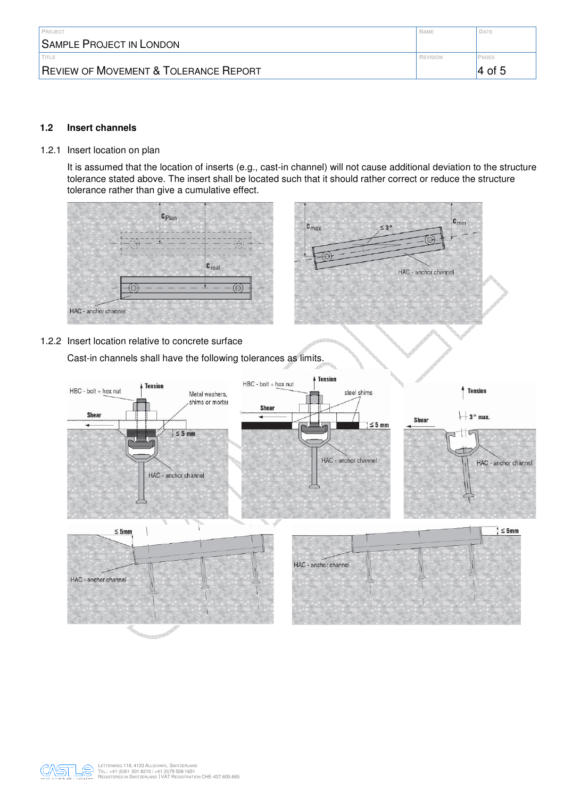| PROJECT                                          | <b>NAME</b>     | DATE         |
|--------------------------------------------------|-----------------|--------------|
| <b>SAMPLE PROJECT IN LONDON</b>                  |                 |              |
| TITLE                                            | <b>REVISION</b> | <b>PAGES</b> |
| <b>REVIEW OF MOVEMENT &amp; TOLERANCE REPORT</b> |                 | $ 4$ of 5    |

#### **1.2 Insert channels**

#### 1.2.1 Insert location on plan

It is assumed that the location of inserts (e.g., cast-in channel) will not cause additional deviation to the structure tolerance stated above. The insert shall be located such that it should rather correct or reduce the structure tolerance rather than give a cumulative effect.





1.2.2 Insert location relative to concrete surface

Cast-in channels shall have the following tolerances as limits.